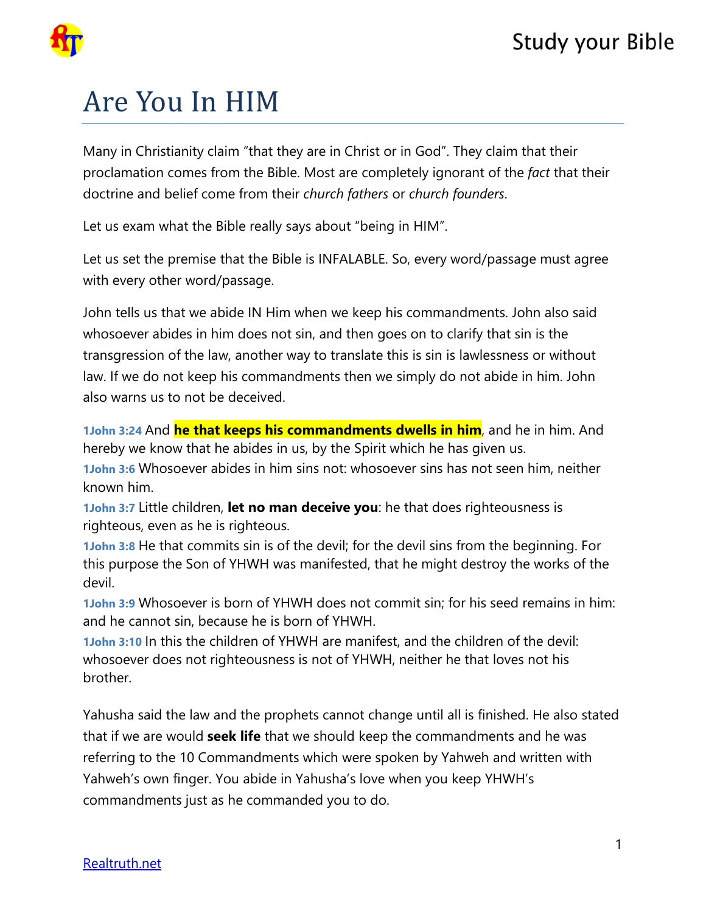

## Are You In HIM

Many in Christianity claim "that they are in Christ or in God". They claim that their proclamation comes from the Bible. Most are completely ignorant of the *fact* that their doctrine and belief come from their *church fathers* or *church founders*.

Let us exam what the Bible really says about "being in HIM".

Let us set the premise that the Bible is INFALABLE. So, every word/passage must agree with every other word/passage.

John tells us that we abide IN Him when we keep his commandments. John also said whosoever abides in him does not sin, and then goes on to clarify that sin is the transgression of the law, another way to translate this is sin is lawlessness or without law. If we do not keep his commandments then we simply do not abide in him. John also warns us to not be deceived.

**1John 3:24** And **he that keeps his commandments dwells in him**, and he in him. And hereby we know that he abides in us, by the Spirit which he has given us.

**1John 3:6** Whosoever abides in him sins not: whosoever sins has not seen him, neither known him.

**1John 3:7** Little children, **let no man deceive you**: he that does righteousness is righteous, even as he is righteous.

**1John 3:8** He that commits sin is of the devil; for the devil sins from the beginning. For this purpose the Son of YHWH was manifested, that he might destroy the works of the devil.

**1John 3:9** Whosoever is born of YHWH does not commit sin; for his seed remains in him: and he cannot sin, because he is born of YHWH.

**1John 3:10** In this the children of YHWH are manifest, and the children of the devil: whosoever does not righteousness is not of YHWH, neither he that loves not his brother.

Yahusha said the law and the prophets cannot change until all is finished. He also stated that if we are would **seek life** that we should keep the commandments and he was referring to the 10 Commandments which were spoken by Yahweh and written with Yahweh's own finger. You abide in Yahusha's love when you keep YHWH's commandments just as he commanded you to do.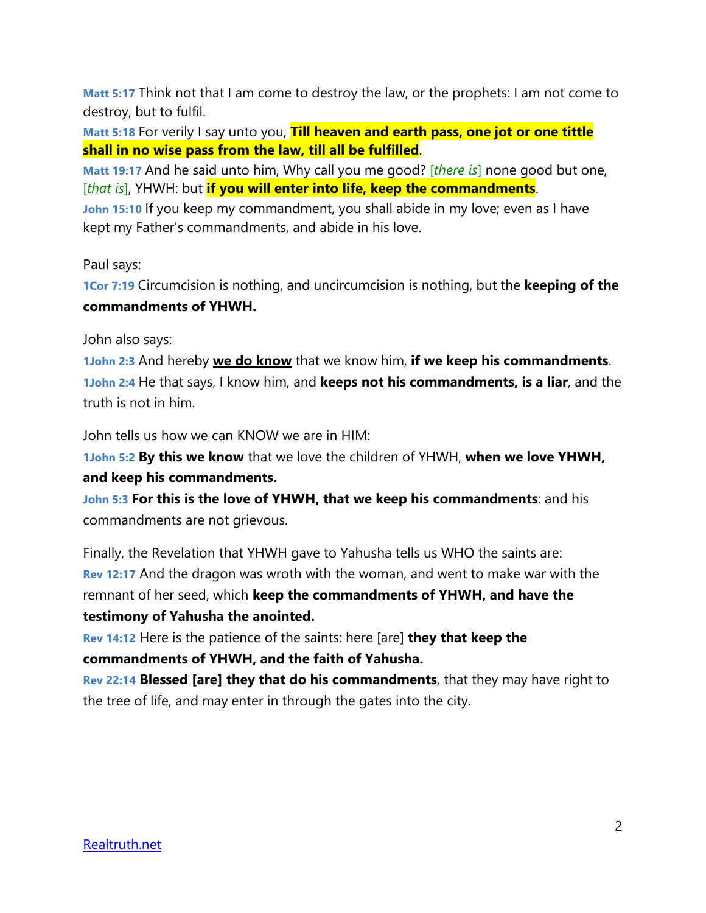**Matt 5:17** Think not that I am come to destroy the law, or the prophets: I am not come to destroy, but to fulfil.

**Matt 5:18** For verily I say unto you, **Till heaven and earth pass, one jot or one tittle shall in no wise pass from the law, till all be fulfilled**.

**Matt 19:17** And he said unto him, Why call you me good? [*there is*] none good but one, [*that is*], YHWH: but **if you will enter into life, keep the commandments**.

**John 15:10** If you keep my commandment, you shall abide in my love; even as I have kept my Father's commandments, and abide in his love.

Paul says:

**1Cor 7:19** Circumcision is nothing, and uncircumcision is nothing, but the **keeping of the commandments of YHWH.**

John also says:

**1John 2:3** And hereby **we do know** that we know him, **if we keep his commandments**. **1John 2:4** He that says, I know him, and **keeps not his commandments, is a liar**, and the truth is not in him.

John tells us how we can KNOW we are in HIM:

**1John 5:2 By this we know** that we love the children of YHWH, **when we love YHWH, and keep his commandments.**

**John 5:3 For this is the love of YHWH, that we keep his commandments**: and his commandments are not grievous.

Finally, the Revelation that YHWH gave to Yahusha tells us WHO the saints are: **Rev 12:17** And the dragon was wroth with the woman, and went to make war with the remnant of her seed, which **keep the commandments of YHWH, and have the testimony of Yahusha the anointed.**

**Rev 14:12** Here is the patience of the saints: here [are] **they that keep the commandments of YHWH, and the faith of Yahusha.**

**Rev 22:14 Blessed [are] they that do his commandments**, that they may have right to the tree of life, and may enter in through the gates into the city.